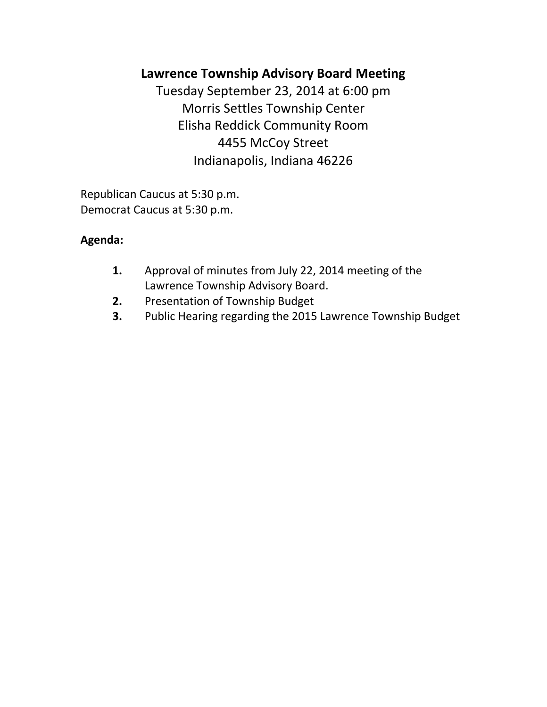# **Lawrence Township Advisory Board Meeting**

Tuesday September 23, 2014 at 6:00 pm Morris Settles Township Center Elisha Reddick Community Room 4455 McCoy Street Indianapolis, Indiana 46226

Republican Caucus at 5:30 p.m. Democrat Caucus at 5:30 p.m.

## **Agenda:**

- **1.** Approval of minutes from July 22, 2014 meeting of the Lawrence Township Advisory Board.
- **2.** Presentation of Township Budget
- **3.** Public Hearing regarding the 2015 Lawrence Township Budget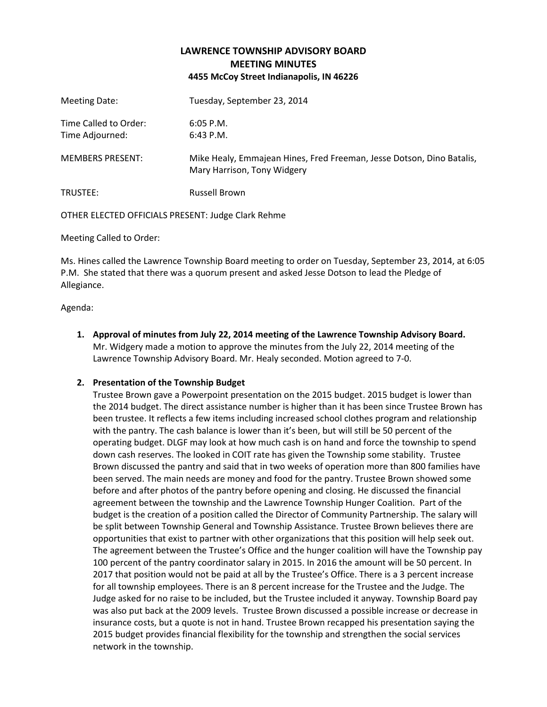### **LAWRENCE TOWNSHIP ADVISORY BOARD MEETING MINUTES 4455 McCoy Street Indianapolis, IN 46226**

| Meeting Date:                            | Tuesday, September 23, 2014                                                                          |
|------------------------------------------|------------------------------------------------------------------------------------------------------|
| Time Called to Order:<br>Time Adjourned: | $6:05$ P.M.<br>$6:43$ P.M.                                                                           |
| <b>MEMBERS PRESENT:</b>                  | Mike Healy, Emmajean Hines, Fred Freeman, Jesse Dotson, Dino Batalis,<br>Mary Harrison, Tony Widgery |
| TRUSTEE:                                 | <b>Russell Brown</b>                                                                                 |

OTHER ELECTED OFFICIALS PRESENT: Judge Clark Rehme

Meeting Called to Order:

Ms. Hines called the Lawrence Township Board meeting to order on Tuesday, September 23, 2014, at 6:05 P.M. She stated that there was a quorum present and asked Jesse Dotson to lead the Pledge of Allegiance.

Agenda:

**1. Approval of minutes from July 22, 2014 meeting of the Lawrence Township Advisory Board.** Mr. Widgery made a motion to approve the minutes from the July 22, 2014 meeting of the Lawrence Township Advisory Board. Mr. Healy seconded. Motion agreed to 7-0.

#### **2. Presentation of the Township Budget**

Trustee Brown gave a Powerpoint presentation on the 2015 budget. 2015 budget is lower than the 2014 budget. The direct assistance number is higher than it has been since Trustee Brown has been trustee. It reflects a few items including increased school clothes program and relationship with the pantry. The cash balance is lower than it's been, but will still be 50 percent of the operating budget. DLGF may look at how much cash is on hand and force the township to spend down cash reserves. The looked in COIT rate has given the Township some stability. Trustee Brown discussed the pantry and said that in two weeks of operation more than 800 families have been served. The main needs are money and food for the pantry. Trustee Brown showed some before and after photos of the pantry before opening and closing. He discussed the financial agreement between the township and the Lawrence Township Hunger Coalition. Part of the budget is the creation of a position called the Director of Community Partnership. The salary will be split between Township General and Township Assistance. Trustee Brown believes there are opportunities that exist to partner with other organizations that this position will help seek out. The agreement between the Trustee's Office and the hunger coalition will have the Township pay 100 percent of the pantry coordinator salary in 2015. In 2016 the amount will be 50 percent. In 2017 that position would not be paid at all by the Trustee's Office. There is a 3 percent increase for all township employees. There is an 8 percent increase for the Trustee and the Judge. The Judge asked for no raise to be included, but the Trustee included it anyway. Township Board pay was also put back at the 2009 levels. Trustee Brown discussed a possible increase or decrease in insurance costs, but a quote is not in hand. Trustee Brown recapped his presentation saying the 2015 budget provides financial flexibility for the township and strengthen the social services network in the township.